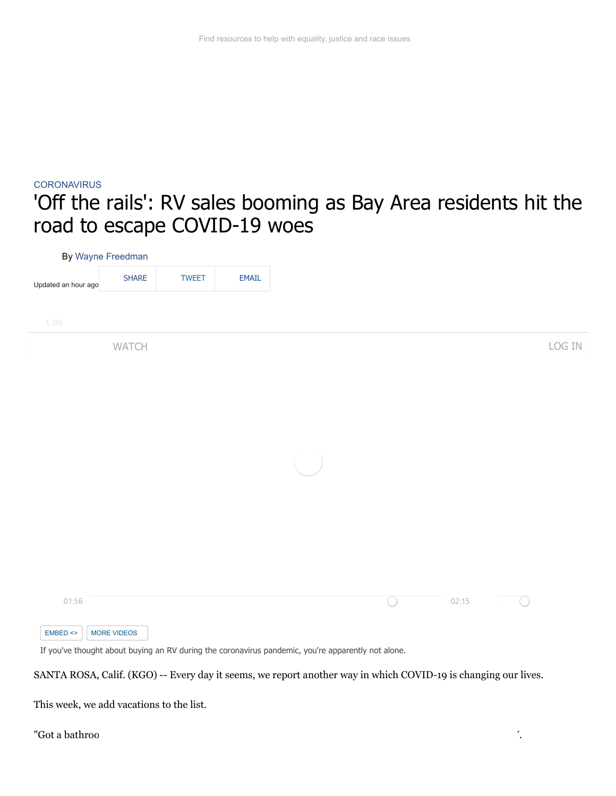## **[CORONAVIRUS](https://abc7news.com/tag/coronavirus/)** 'Off the rails': RV sales booming as Bay Area residents hit the road to escape COVID-19 woes

| By Wayne Freedman       |              |              |       |  |            |       |           |        |
|-------------------------|--------------|--------------|-------|--|------------|-------|-----------|--------|
| Updated an hour ago     | <b>SHARE</b> | <b>TWEET</b> | EMAIL |  |            |       |           |        |
|                         |              |              |       |  |            |       |           |        |
| 1.00                    |              |              |       |  |            |       |           |        |
|                         | WATCH        |              |       |  |            |       |           | LOG IN |
|                         |              |              |       |  |            |       |           |        |
|                         |              |              |       |  |            |       |           |        |
|                         |              |              |       |  |            |       |           |        |
|                         |              |              |       |  |            |       |           |        |
|                         |              |              |       |  |            |       |           |        |
|                         |              |              |       |  |            |       |           |        |
|                         |              |              |       |  |            |       |           |        |
|                         |              |              |       |  |            |       |           |        |
|                         |              |              |       |  |            |       |           |        |
|                         |              |              |       |  |            |       |           |        |
| 01:56                   |              |              |       |  | $\bigcirc$ | 02:15 | $(\quad)$ |        |
|                         |              |              |       |  |            |       |           |        |
| $EMBED \Leftrightarrow$ | MORE VIDEOS  |              |       |  |            |       |           |        |

SANTA ROSA, Calif. (KGO) -- Every day it seems, we report another way in which COVID-19 is changing our lives.

This week, we add vacations to the list.

"Got a bathroom here, a sink, the toilet, the toilet, the toilet, the toilet, the toilet, the toilet, the toilet, the toilet, the toilet, the toilet, the toilet, the toilet, the toilet, the toilet, the toilet, the toilet,